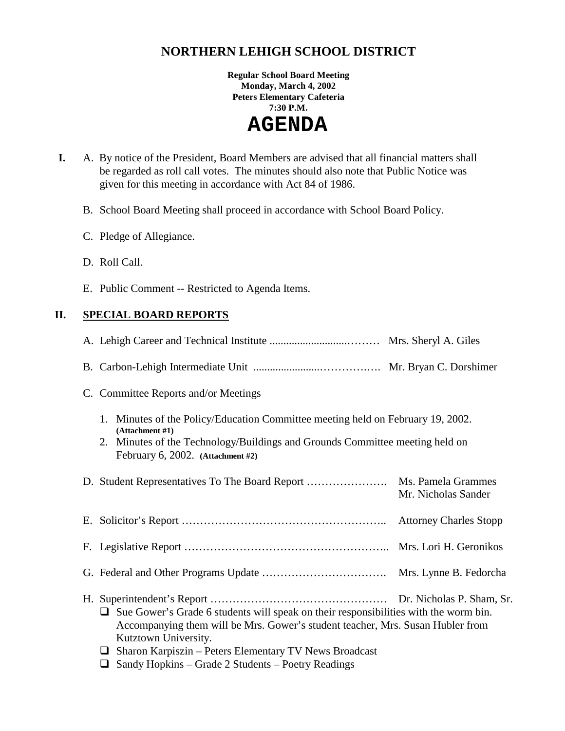# **NORTHERN LEHIGH SCHOOL DISTRICT**

**Regular School Board Meeting Monday, March 4, 2002 Peters Elementary Cafeteria 7:30 P.M.** 

 **AGENDA** 

- **I.** A. By notice of the President, Board Members are advised that all financial matters shall be regarded as roll call votes. The minutes should also note that Public Notice was given for this meeting in accordance with Act 84 of 1986.
	- B. School Board Meeting shall proceed in accordance with School Board Policy.
	- C. Pledge of Allegiance.
	- D. Roll Call.
	- E. Public Comment -- Restricted to Agenda Items.

# **II. SPECIAL BOARD REPORTS**

| C. Committee Reports and/or Meetings                                                                                                                                                                                                                                                                                |                     |
|---------------------------------------------------------------------------------------------------------------------------------------------------------------------------------------------------------------------------------------------------------------------------------------------------------------------|---------------------|
| 1. Minutes of the Policy/Education Committee meeting held on February 19, 2002.<br>(Attachment #1)<br>2. Minutes of the Technology/Buildings and Grounds Committee meeting held on<br>February 6, 2002. (Attachment #2)                                                                                             |                     |
|                                                                                                                                                                                                                                                                                                                     | Mr. Nicholas Sander |
|                                                                                                                                                                                                                                                                                                                     |                     |
|                                                                                                                                                                                                                                                                                                                     |                     |
|                                                                                                                                                                                                                                                                                                                     |                     |
| Sue Gower's Grade 6 students will speak on their responsibilities with the worm bin.<br>⊔<br>Accompanying them will be Mrs. Gower's student teacher, Mrs. Susan Hubler from<br>Kutztown University.<br>Sharon Karpiszin – Peters Elementary TV News Broadcast<br>D. Condy Haplying Cuada 2 Chidante Doctor Deadings |                     |

 $\Box$  Sandy Hopkins – Grade 2 Students – Poetry Readings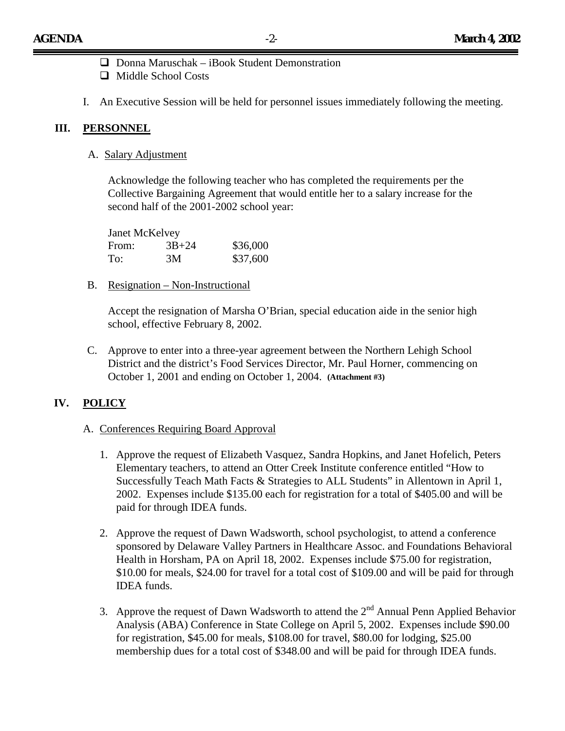- $\Box$  Donna Maruschak iBook Student Demonstration
- $\Box$  Middle School Costs
- I. An Executive Session will be held for personnel issues immediately following the meeting.

### **III. PERSONNEL**

A. Salary Adjustment

Acknowledge the following teacher who has completed the requirements per the Collective Bargaining Agreement that would entitle her to a salary increase for the second half of the 2001-2002 school year:

| Janet McKelvey |           |          |
|----------------|-----------|----------|
| From:          | $3B + 24$ | \$36,000 |
| To:            | 3M        | \$37,600 |

B. Resignation – Non-Instructional

Accept the resignation of Marsha O'Brian, special education aide in the senior high school, effective February 8, 2002.

C. Approve to enter into a three-year agreement between the Northern Lehigh School District and the district's Food Services Director, Mr. Paul Horner, commencing on October 1, 2001 and ending on October 1, 2004. **(Attachment #3)**

# **IV. POLICY**

#### A. Conferences Requiring Board Approval

- 1. Approve the request of Elizabeth Vasquez, Sandra Hopkins, and Janet Hofelich, Peters Elementary teachers, to attend an Otter Creek Institute conference entitled "How to Successfully Teach Math Facts & Strategies to ALL Students" in Allentown in April 1, 2002. Expenses include \$135.00 each for registration for a total of \$405.00 and will be paid for through IDEA funds.
- 2. Approve the request of Dawn Wadsworth, school psychologist, to attend a conference sponsored by Delaware Valley Partners in Healthcare Assoc. and Foundations Behavioral Health in Horsham, PA on April 18, 2002. Expenses include \$75.00 for registration, \$10.00 for meals, \$24.00 for travel for a total cost of \$109.00 and will be paid for through IDEA funds.
- 3. Approve the request of Dawn Wadsworth to attend the  $2<sup>nd</sup>$  Annual Penn Applied Behavior Analysis (ABA) Conference in State College on April 5, 2002. Expenses include \$90.00 for registration, \$45.00 for meals, \$108.00 for travel, \$80.00 for lodging, \$25.00 membership dues for a total cost of \$348.00 and will be paid for through IDEA funds.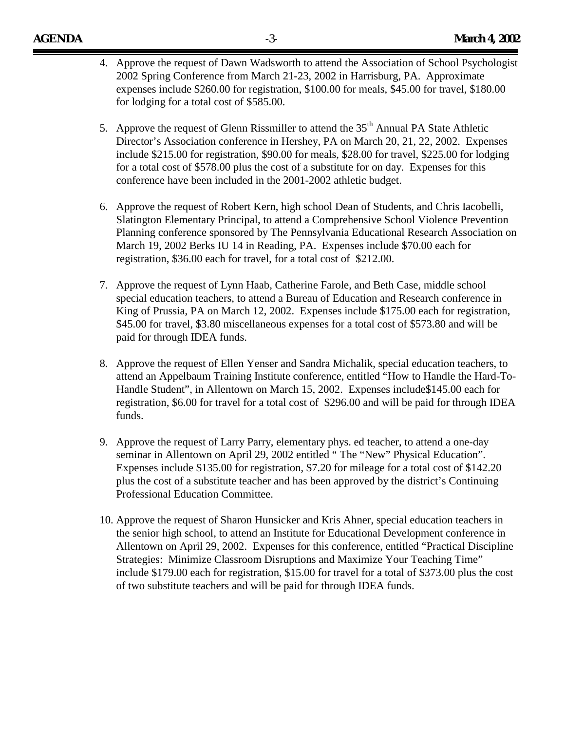- 4. Approve the request of Dawn Wadsworth to attend the Association of School Psychologist 2002 Spring Conference from March 21-23, 2002 in Harrisburg, PA. Approximate expenses include \$260.00 for registration, \$100.00 for meals, \$45.00 for travel, \$180.00 for lodging for a total cost of \$585.00.
- 5. Approve the request of Glenn Rissmiller to attend the  $35<sup>th</sup>$  Annual PA State Athletic Director's Association conference in Hershey, PA on March 20, 21, 22, 2002. Expenses include \$215.00 for registration, \$90.00 for meals, \$28.00 for travel, \$225.00 for lodging for a total cost of \$578.00 plus the cost of a substitute for on day. Expenses for this conference have been included in the 2001-2002 athletic budget.
- 6. Approve the request of Robert Kern, high school Dean of Students, and Chris Iacobelli, Slatington Elementary Principal, to attend a Comprehensive School Violence Prevention Planning conference sponsored by The Pennsylvania Educational Research Association on March 19, 2002 Berks IU 14 in Reading, PA. Expenses include \$70.00 each for registration, \$36.00 each for travel, for a total cost of \$212.00.
- 7. Approve the request of Lynn Haab, Catherine Farole, and Beth Case, middle school special education teachers, to attend a Bureau of Education and Research conference in King of Prussia, PA on March 12, 2002. Expenses include \$175.00 each for registration, \$45.00 for travel, \$3.80 miscellaneous expenses for a total cost of \$573.80 and will be paid for through IDEA funds.
- 8. Approve the request of Ellen Yenser and Sandra Michalik, special education teachers, to attend an Appelbaum Training Institute conference, entitled "How to Handle the Hard-To-Handle Student", in Allentown on March 15, 2002. Expenses include\$145.00 each for registration, \$6.00 for travel for a total cost of \$296.00 and will be paid for through IDEA funds.
- 9. Approve the request of Larry Parry, elementary phys. ed teacher, to attend a one-day seminar in Allentown on April 29, 2002 entitled " The "New" Physical Education". Expenses include \$135.00 for registration, \$7.20 for mileage for a total cost of \$142.20 plus the cost of a substitute teacher and has been approved by the district's Continuing Professional Education Committee.
- 10. Approve the request of Sharon Hunsicker and Kris Ahner, special education teachers in the senior high school, to attend an Institute for Educational Development conference in Allentown on April 29, 2002. Expenses for this conference, entitled "Practical Discipline Strategies: Minimize Classroom Disruptions and Maximize Your Teaching Time" include \$179.00 each for registration, \$15.00 for travel for a total of \$373.00 plus the cost of two substitute teachers and will be paid for through IDEA funds.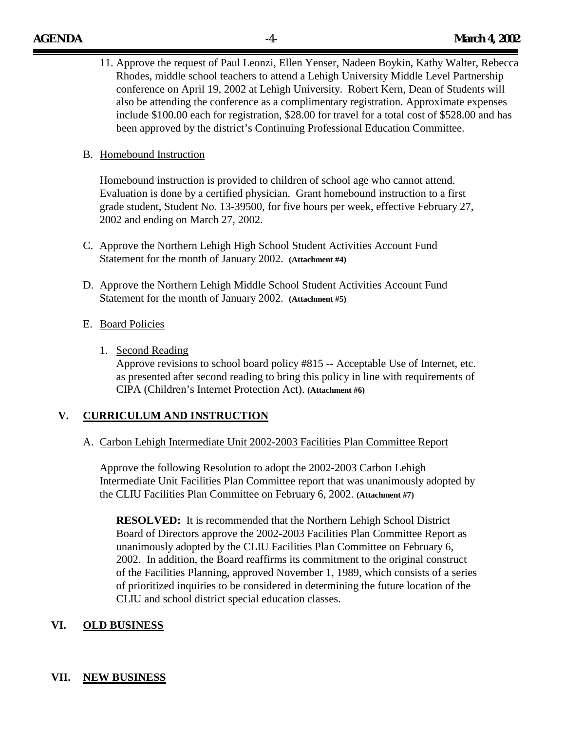11. Approve the request of Paul Leonzi, Ellen Yenser, Nadeen Boykin, Kathy Walter, Rebecca Rhodes, middle school teachers to attend a Lehigh University Middle Level Partnership conference on April 19, 2002 at Lehigh University. Robert Kern, Dean of Students will also be attending the conference as a complimentary registration. Approximate expenses include \$100.00 each for registration, \$28.00 for travel for a total cost of \$528.00 and has been approved by the district's Continuing Professional Education Committee.

### B. Homebound Instruction

Homebound instruction is provided to children of school age who cannot attend. Evaluation is done by a certified physician. Grant homebound instruction to a first grade student, Student No. 13-39500, for five hours per week, effective February 27, 2002 and ending on March 27, 2002.

- C. Approve the Northern Lehigh High School Student Activities Account Fund Statement for the month of January 2002. **(Attachment #4)**
- D. Approve the Northern Lehigh Middle School Student Activities Account Fund Statement for the month of January 2002. **(Attachment #5)**
- E. Board Policies
	- 1. Second Reading

Approve revisions to school board policy #815 -- Acceptable Use of Internet, etc. as presented after second reading to bring this policy in line with requirements of CIPA (Children's Internet Protection Act). **(Attachment #6)** 

# **V. CURRICULUM AND INSTRUCTION**

#### A. Carbon Lehigh Intermediate Unit 2002-2003 Facilities Plan Committee Report

Approve the following Resolution to adopt the 2002-2003 Carbon Lehigh Intermediate Unit Facilities Plan Committee report that was unanimously adopted by the CLIU Facilities Plan Committee on February 6, 2002. **(Attachment #7)**

**RESOLVED:** It is recommended that the Northern Lehigh School District Board of Directors approve the 2002-2003 Facilities Plan Committee Report as unanimously adopted by the CLIU Facilities Plan Committee on February 6, 2002. In addition, the Board reaffirms its commitment to the original construct of the Facilities Planning, approved November 1, 1989, which consists of a series of prioritized inquiries to be considered in determining the future location of the CLIU and school district special education classes.

# **VI. OLD BUSINESS**

# **VII. NEW BUSINESS**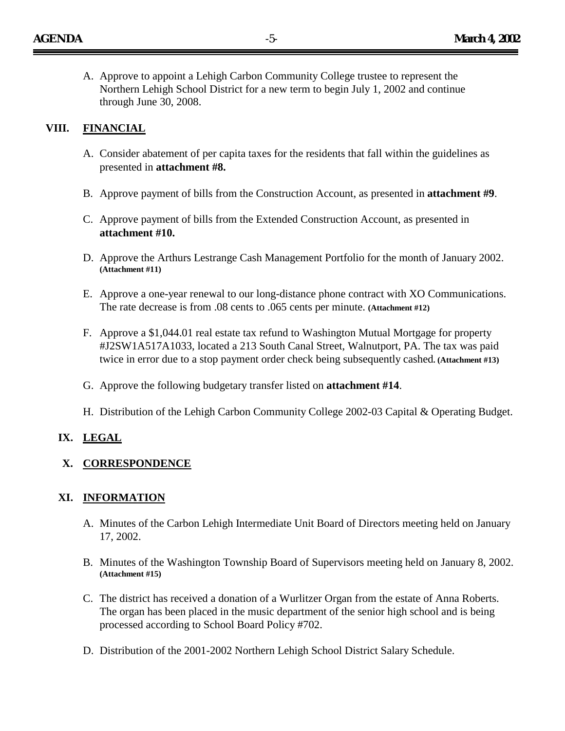A. Approve to appoint a Lehigh Carbon Community College trustee to represent the Northern Lehigh School District for a new term to begin July 1, 2002 and continue through June 30, 2008.

### **VIII. FINANCIAL**

- A. Consider abatement of per capita taxes for the residents that fall within the guidelines as presented in **attachment #8.**
- B. Approve payment of bills from the Construction Account, as presented in **attachment #9**.
- C. Approve payment of bills from the Extended Construction Account, as presented in **attachment #10.**
- D. Approve the Arthurs Lestrange Cash Management Portfolio for the month of January 2002. **(Attachment #11)**
- E. Approve a one-year renewal to our long-distance phone contract with XO Communications. The rate decrease is from .08 cents to .065 cents per minute. **(Attachment #12)**
- F. Approve a \$1,044.01 real estate tax refund to Washington Mutual Mortgage for property #J2SW1A517A1033, located a 213 South Canal Street, Walnutport, PA. The tax was paid twice in error due to a stop payment order check being subsequently cashed**. (Attachment #13)**
- G. Approve the following budgetary transfer listed on **attachment #14**.
- H. Distribution of the Lehigh Carbon Community College 2002-03 Capital & Operating Budget.

#### **IX. LEGAL**

#### **X. CORRESPONDENCE**

#### **XI. INFORMATION**

- A. Minutes of the Carbon Lehigh Intermediate Unit Board of Directors meeting held on January 17, 2002.
- B. Minutes of the Washington Township Board of Supervisors meeting held on January 8, 2002. **(Attachment #15)**
- C. The district has received a donation of a Wurlitzer Organ from the estate of Anna Roberts. The organ has been placed in the music department of the senior high school and is being processed according to School Board Policy #702.
- D. Distribution of the 2001-2002 Northern Lehigh School District Salary Schedule.